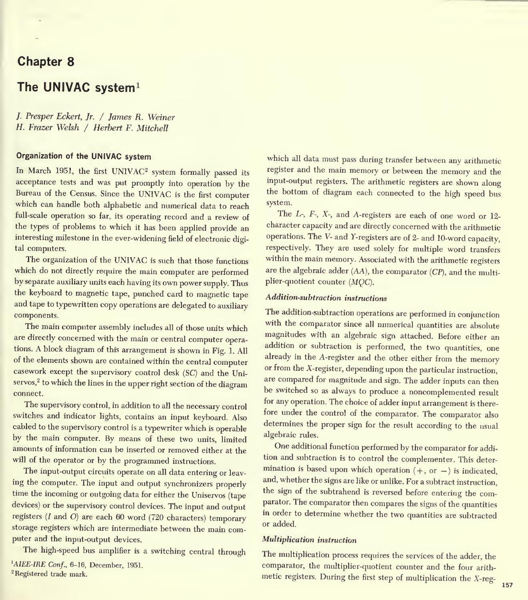# Chapter 8

# The UNIVAC system $^1$

/. Presper Eckert, Jr. / James R. Weiner H. Frazer Welsh / Herbert F. Mitchell

# Organization of the UNIVAC system

In March 1951, the first UNIVAC<sup>2</sup> system formally passed its acceptance tests and was put promptly into operation by the Bureau of the Census. Since the UNIVAC is the first computer which can handle both alphabetic and numerical data to reach full-scale operation so far, its operating record and <sup>a</sup> review of the types of problems to which it has been applied provide an interesting milestone in the ever-widening field of electronic digital computers.

The organization of the UNIVAC is such that those functions which do not directly require the main computer are performed by separate auxiliary units each having its own power supply. Thus the keyboard to magnetic tape, punched card to magnetic tape and tape to typewritten copy operations are delegated to auxiliary components.

The main computer assembly includes all of those units which are directly concerned with the main or central computer operations. A block diagram of this arrangement is shown in Fig. 1. All of the elements shown are contained within the central computer casework except the supervisory control desk (SC) and the Uniservos, <sup>2</sup> to which the lines in the upper right section of the diagram connect.

The supervisory control, in addition to all the necessary control switches and indicator lights, contains an input keyboard. Also cabled to the supervisory control is <sup>a</sup> typewriter which is operable by the main computer. By means of these two units, limited amounts of information can be inserted or removed either at the will of the operator or by the programmed instructions.

The input-output circuits operate on all data entering or leav ing the computer. The input and output synchronizers properly time the incoming or outgoing data for either the Uniservos (tape devices) or the supervisory control devices. The input and output registers  $(I \text{ and } O)$  are each 60 word (720 characters) temporary storage registers which are intermediate between the main computer and the input-output devices.

The high-speed bus amplifier is <sup>a</sup> switching central through  $^{1}$ AIEE-IRE Conf., 6-16, December, 1951. <sup>2</sup> Registered trade mark.

which all data must pass during transfer between any arithmetic register and the main memory or between the memory and the input-output registers. The arithmetic registers are shown along the bottom of diagram each connected to the high speed bus system.

The L-, F-, X-, and A-registers are each of one word or 12character capacity and are directly concerned with the arithmetic operations. The V- and Y-registers are of 2- and 10-word capacity, respectively. They are used solely for multiple word transfers within the main memory. Associated with the arithmetic registers are the algebraic adder  $(AA)$ , the comparator  $(CP)$ , and the multiplier-quotient counter (MQC).

# Addition-subtraction instructions

The addition-subtraction operations are performed in conjunction with the comparator since all numerical quantities are absolute magnitudes with an algebraic sign attached. Before either an addition or subtraction is performed, the two quantities, one already in the A-register and the other either from the memory or from the X-register, depending upon the particular instruction, are compared for magnitude and sign. The adder inputs can then be switched so as always to produce <sup>a</sup> noncomplemented result for any operation. The choice of adder input arrangement is therefore under the control of the comparator. The comparator also determines the proper sign for the result according to the usual algebraic rules.

One additional function performed by the comparator for addition and subtraction is to control the complementer. This deter mination is based upon which operation  $( +, or - )$  is indicated, and, whether the signs are like or unlike. For <sup>a</sup> subtract instruction, the sign of the subtrahend is reversed before entering the comparator. The comparator then compares the signs of the quantities in order to determine whether the two quantities are subtracted or added.

# Multiplication instruction

The multiplication process requires the services of the adder, the comparator, the multiplier-quotient counter and the four arith metic registers. During the first step of multiplication the X-reg-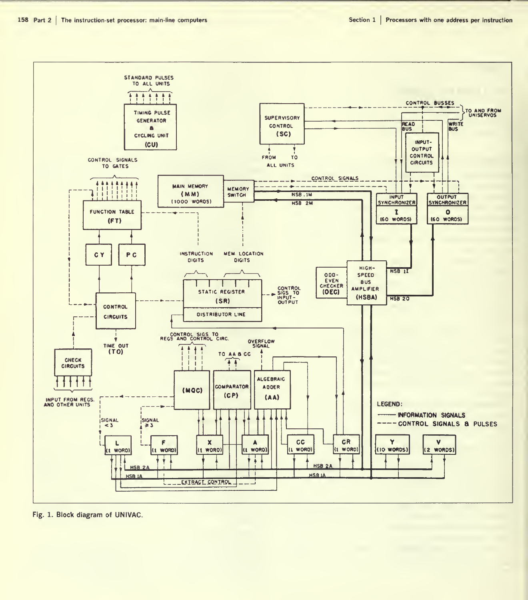

Fig. 1. Block diagram of UNIVAC.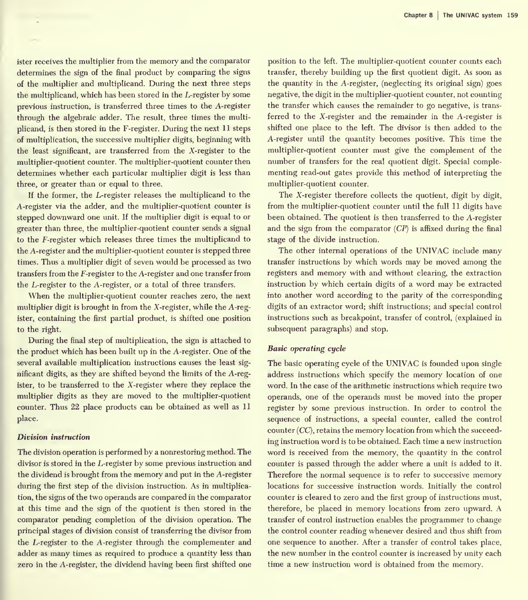ister receives the multiplier from the memory and the comparator determines the sign of the final product by comparing the signs of the multiplier and multiplicand. During the next three steps the multiplicand, which has been stored in the L-register by some previous instruction, is transferred three times to the A-register through the algebraic adder. The result, three times the multiplicand, is then stored in the F-register. During the next <sup>11</sup> steps of multiplication, the successive multiplier digits, beginning with the least significant, are transferred from the X-register to the multiplier-quotient counter. The multiplier-quotient counter then determines whether each particular multiplier digit is less than three, or greater than or equal to three.

If the former, the L-register releases the multiplicand to the A-register via the adder, and the multiplier-quotient counter is stepped downward one unit. If the multiplier digit is equal to or greater than three, the multiplier-quotient counter sends <sup>a</sup> signal to the F-register which releases three times the multiplicand to the A-register and the multiplier-quotient counter is stepped three times. Thus <sup>a</sup> multiplier digit of seven would be processed as two transfers from the F-register to the A-register and one transfer from the L-register to the A-register, or a total of three transfers.

When the multiplier-quotient counter reaches zero, the next multiplier digit is brought in from the X-register, while the A-register, containing the first partial product, is shifted one position to the right.

During the final step of multiplication, the sign is attached to the product which has been built up in the A-register. One of the several available multiplication instructions causes the least sig nificant digits, as they are shifted beyond the limits of the A-register, to be transferred to the X-register where they replace the multiplier digits as they are moved to the multiplier-quotient counter. Thus 22 place products can be obtained as well as <sup>11</sup> place.

## Division instruction

The division operation is performed by <sup>a</sup> nonrestoring method. The divisor is stored in the L-register by some previous instruction and the dividend is brought from the memory and put in the A-register during the first step of the division instruction. As in multiplication, the signs of the two operands are compared in the comparator at this time and the sign of the quotient is then stored in the comparator pending completion of the division operation. The principal stages of division consist of transferring the divisor from the L-register to the A-register through the complementer and adder as many times as required to produce <sup>a</sup> quantity less than zero in the A-register, the dividend having been first shifted one

position to the left. The multiplier-quotient counter counts each transfer, thereby building up the first quotient digit. As soon as the quantity in the A-register, (neglecting its original sign) goes negative, the digit in the multiplier-quotient counter, not counting the transfer which causes the remainder to go negative, is transferred to the X-register and the remainder in the A-register is shifted one place to the left. The divisor is then added to the A-register until the quantity becomes positive. This time the multiplier-quotient counter must give the complement of the number of transfers for the real quotient digit. Special complementing read-out gates provide this method of interpreting the multiplier-quotient counter.

The X-register therefore collects the quotient, digit by digit, from the multiplier-quotient counter until the full <sup>11</sup> digits have been obtained. The quotient is then transferred to the A-register and the sign from the comparator (CP) is affixed during the final stage of the divide instruction.

The other internal operations of the UNIVAC include many transfer instructions by which words may be moved among the registers and memory with and without clearing, the extraction instruction by which certain digits of <sup>a</sup> word may be extracted into another word according to the parity of the corresponding digits of an extractor word; shift instructions; and special control instructions such as breakpoint, transfer of control, (explained in subsequent paragraphs) and stop.

# Basic operating cycle

The basic operating cycle of the UNIVAC is founded upon single address instructions which specify the memory location of one word. In the case of the arithmetic instructions which require two operands, one of the operands must be moved into the proper register by some previous instruction. In order to control the sequence of instructions, a special counter, called the control counter (CC), retains the memory location from which the succeeding instruction word isto be obtained. Each time <sup>a</sup> new instruction word is received from the memory, the quantity in the control counter is passed through the adder where <sup>a</sup> unit is added to it. Therefore the normal sequence is to refer to successive memory locations for successive instruction words. Initially the control counter is cleared to zero and the first group of instructions must, therefore, be placed in memory locations from zero upward. A transfer of control instruction enables the programmer to change the control counter reading whenever desired and thus shift from one sequence to another. After <sup>a</sup> transfer of control takes place, the new number in the control counter is increased by unity each time <sup>a</sup> new instruction word is obtained from the memory.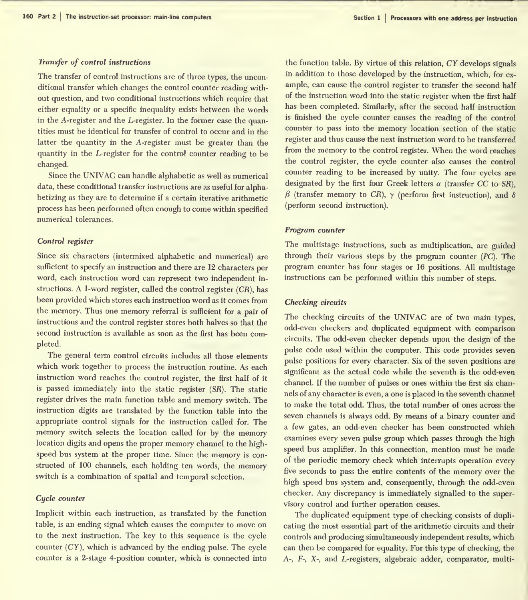## Transfer of control instructions

The transfer of control instructions are of three types, the unconditional transfer which changes the control counter reading with out question, and two conditional instructions which require that either equality or <sup>a</sup> specific inequality exists between the words in the A-register and the L-register. In the former case the quantities must be identical for transfer of control to occur and in the latter the quantity in the A-register must be greater than the quantity in the L-register for the control counter reading to be changed.

Since the UNIVAC can handle alphabetic as well as numerical data, these conditional transfer instructions are as useful for alphabetizing as they are to determine if a certain iterative arithmetic process has been performed often enough to come within specified numerical tolerances.

#### Control register

Since six characters (intermixed alphabetic and numerical) are sufficient to specify an instruction and there are <sup>12</sup> characters per word, each instruction word can represent two independent instructions. A 1-word register, called the control register  $(CR)$ , has been provided which stores each instruction word as it comes from the memory. Thus one memory referral is sufficient for <sup>a</sup> pair of instructions and the control register stores both halves so that the second instruction is available as soon as the first has been completed.

The general term control circuits includes all those elements which work together to process the instruction routine. As each instruction word reaches the control register, the first half of it is passed immediately into the static register (SR). The staticregister drives the main function table and memory switch. The instruction digits are translated by the function table into the appropriate control signals for the instruction called for. The memory switch selects the location called for by the memory location digits and opens the proper memory channel to the highspeed bus system at the proper time. Since the memory is constructed of <sup>100</sup> channels, each holding ten words, the memory switch is <sup>a</sup> combination of spatial and temporal selection.

## Cycle counter

Implicit within each instruction, as translated by the function table, is an ending signal which causes the computer to move on to the next instruction. The key to this sequence is the cycle counter (CY), which is advanced by the ending pulse. The cycle counter is <sup>a</sup> 2-stage 4-position counter, which is connected into

the function table. By virtue of this relation, CY develops signals in addition to those developed by the instruction, which, for ex ample, can cause the control register to transfer the second half of the instruction word into the static register when the first half has been completed. Similarly, after the second half instruction is finished the cycle counter causes the reading of the control counter to pass into the memory location section of the static register and thus cause the next instruction word to be transferred from the memory to the control register. When the word reaches the control register, the cycle counter also causes the control counter reading to be increased by unity. The four cycles are designated by the first four Greek letters  $\alpha$  (transfer CC to SR),  $\beta$  (transfer memory to CR),  $\gamma$  (perform first instruction), and  $\delta$ (perform second instruction).

### Program counter

The multistage instructions, such as multiplication, are guided through their various steps by the program counter (PC). The program counter has four stages or <sup>16</sup> positions. All multistage instructions can be performed within this number of steps.

# Checking circuits

The checking circuits of the UNIVAC are of two main types, odd-even checkers and duplicated equipment with comparison circuits. The odd-even checker depends upon the design of the pulse code used within the computer. This code provides seven pulse positions for every character. Six of the seven positions are significant as the actual code while the seventh is the odd-even channel. If the number of pulses or ones within the first six channels of any character is even, <sup>a</sup> one is placed in the seventh channel to make the total odd. Thus, the total number of ones across the seven channels is always odd. By means of <sup>a</sup> binary counter and <sup>a</sup> few gates, an odd-even checker has been constructed which examines every seven pulse group which passes through the high speed bus amplifier. In this connection, mention must be made of the periodic memory check which interrupts operation every five seconds to pass the entire contents of the memory over the high speed bus system and, consequently, through the odd-even checker. Any discrepancy is immediately signalled to the supervisory control and further operation ceases.

The duplicated equipment type of checking consists of duplicating the most essential part of the arithmetic circuits and their controls and producing simultaneously independent results, which can then be compared for equality. For this type of checking, the A-, F-, X-, and L-registers, algebraic adder, comparator, multi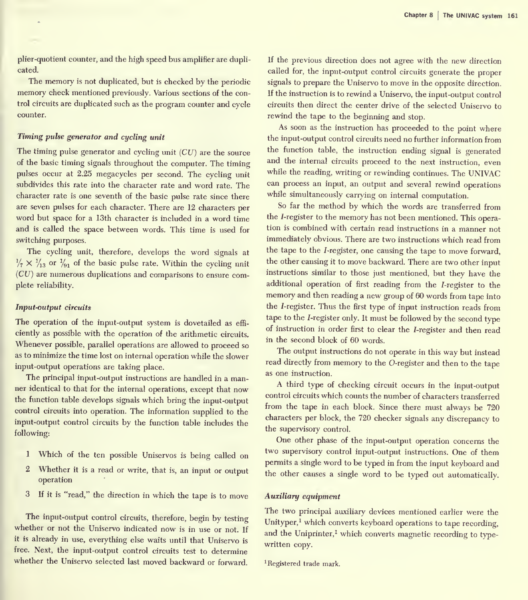plier-quotient counter, and the high speed bus amplifier are duplicated.

The memory is not duplicated, but is checked by the periodic memory check mentioned previously. Various sections of the control circuits are duplicated such as the program counter and cycle counter.

# Timing pulse generator and cycling unit

The timing pulse generator and cycling unit  $(CU)$  are the source of the basic timing signals throughout the computer. The timing pulses occur at 2.25 megacycles per second. The cycling unit subdivides this rate into the character rate and word rate. The character rate is one seventh of the basic pulse rate since there are seven pulses for each character. There are <sup>12</sup> characters per word but space for <sup>a</sup> 13th character is included in <sup>a</sup> word time and is called the space between words. This time is used for switching purposes.

The cycling unit, therefore, develops the word signals at  $\frac{1}{2} \times \frac{1}{13}$  or  $\frac{1}{91}$  of the basic pulse rate. Within the cycling unit (CU) are numerous duplications and comparisons to ensure complete reliability.

## Input-output circuits

The operation of the input-output system is dovetailed as efficiently as possible with the operation of the arithmetic circuits. Whenever possible, parallel operations are allowed to proceed so as to minimize the time lost on internal operation while the slower input-output operations are taking place.

The principal input-output instructions are handled in <sup>a</sup> manner identical to that for the internal operations, except that now the function table develops signals which bring the input-output control circuits into operation. The information supplied to the input-output control circuits by the function table includes the following:

- <sup>1</sup> Which of the ten possible Uniservos is being called on
- <sup>2</sup> Whether it is <sup>a</sup> read or write, that is, an input or output operation
- <sup>3</sup> If it is "read," the direction in which the tape is to move

The input-output control circuits, therefore, begin by testing whether or not the Uniservo indicated now is in use or not. If it is already in use, everything else waits until that Uniservo is free. Next, the input-output control circuits test to determine whether the Uniservo selected last moved backward or forward.

If the previous direction does not agree with the new direction called for, the input-output control circuits generate the proper signals to prepare the Uniservo to move in the opposite direction. If the instruction is to rewind <sup>a</sup> Uniservo, the input-output control circuits then direct the center drive of the selected Uniservo to rewind the tape to the beginning and stop.

As soon as the instruction has proceeded to the point where the input-output control circuits need no further information from the function table, the instruction ending signal is generated and the internal circuits proceed to the next instruction, even while the reading, writing or rewinding continues. The UNIVAC can process an input, an output and several rewind operations while simultaneously carrying on internal computation.

So far the method by which the words are transferred from the I-register to the memory has not been mentioned. This operation is combined with certain read instructions in a manner not immediately obvious. There are two instructions which read from the tape to the /-register, one causing the tape to move forward, the other causing it to move backward. There are two other input instructions similar to those just mentioned, but they have the additional operation of first reading from the /-register to the memory and then reading <sup>a</sup> new group of <sup>60</sup> words from tape into the *I*-register. Thus the first type of input instruction reads from tape to the *I*-register only. It must be followed by the second type of instruction in order first to clear the /-register and then read in the second block of 60 words.

The output instructions do not operate in this way but instead read directly from memory to the O-register and then to the tape as one instruction.

A third type of checking circuit occurs in the input-output control circuits which counts the number of characters transferred from the tape in each block. Since there must always be <sup>720</sup> characters per block, the <sup>720</sup> checker signals any discrepancy to the supervisory control.

One other phase of the input-output operation concerns the two supervisory control input-output instructions. One of them permits <sup>a</sup> single word to be typed in from the input keyboard and the other causes <sup>a</sup> single word to be typed out automatically.

#### Auxiliary equipment

The two principal auxiliary devices mentioned earlier were the Unityper, <sup>1</sup> which converts keyboard operations to tape recording, and the Uniprinter, <sup>1</sup> which converts magnetic recording to type written copy.

'Registered trade mark.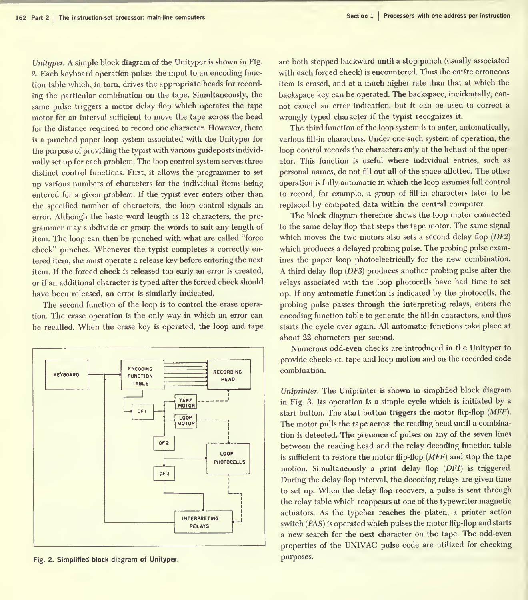Unityper. A simple block diagram of the Unityper is shown in Fig. 2. Each keyboard operation pulses the input to an encoding function table which, in turn, drives the appropriate heads for recording the particular combination on the tape. Simultaneously, the same pulse triggers <sup>a</sup> motor delay flop which operates the tape motor for an interval sufficient to move the tape across the head for the distance required to record one character. However, there is <sup>a</sup> punched paper loop system associated with the Unityper for the purpose of providing the typist with various guideposts individually set up for each problem. The loop control system serves three distinct control functions. First, it allows the programmer to set up various numbers of characters for the individual items being entered for <sup>a</sup> given problem. If the typist ever enters other than the specified number of characters, the loop control signals an error. Although the basic word length is <sup>12</sup> characters, the pro grammer may subdivide or group the words to suit any length of item. The loop can then be punched with what are called "force check" punches. Whenever the typist completes <sup>a</sup> correctly entered item, she must operate <sup>a</sup> release key before entering the next item. If the forced check is released too early an error is created, or if an additional character is typed after the forced check should have been released, an error is similarly indicated.

The second function of the loop is to control the erase operation. The erase operation is the only way in which an error can be recalled. When the erase key is operated, the loop and tape



Fig. 2. Simplified block diagram of Unityper.

are both stepped backward until a stop punch (usually associated with each forced check) is encountered. Thus the entire erroneous item is erased, and at a much higher rate than that at which the backspace key can be operated. The backspace, incidentally, cannot cancel an error indication, but it can be used to correct a wrongly typed character if the typist recognizes it.

The third function of the loop system is to enter, automatically, various fill-in characters. Under one such system of operation, the loop control records the characters only at the behest of the operator. This function is useful where individual entries, such as personal names, do not fill out all of the space allotted. The other operation is fully automatic in which the loop assumes full control to record, for example, a group of fill-in characters later to be replaced by computed data within the central computer.

The block diagram therefore shows the loop motor connected to the same delay flop that steps the tape motor. The same signal which moves the two motors also sets a second delay flop (DF2) which produces a delayed probing pulse. The probing pulse examines the paper loop photoelectrically for the new combination. A third delay flop (DF3) produces another probing pulse after the relays associated with the loop photocells have had time to set up. If any automatic function is indicated by the photocells, the probing pulse passes through the interpreting relays, enters the encoding function table to generate the fill-in characters, and thus starts the cycle over again. All automatic functions take place at about 22 characters per second.

Numerous odd-even checks are introduced in the Unityper to provide checks on tape and loop motion and on the recorded code combination.

Uniprinter. The Uniprinter is shown in simplified block diagram in Fig. 3. Its operation is a simple cycle which is initiated by a start button. The start button triggers the motor flip-flop (MFF). The motor pulls the tape across the reading head until a combination is detected. The presence of pulses on any of the seven lines between the reading head and the relay decoding function table is sufficient to restore the motor flip-flop (MFF) and stop the tape motion. Simultaneously a print delay flop (DFI) is triggered. During the delay flop interval, the decoding relays are given time to set up. When the delay flop recovers, a pulse is sent through the relay table which reappears at one of the typewriter magnetic actuators. As the typebar reaches the platen, a printer action switch (PAS) is operated which pulses the motor flip-flop and starts a new search for the next character on the tape. The odd-even properties of the UNIVAC pulse code are utilized for checking purposes.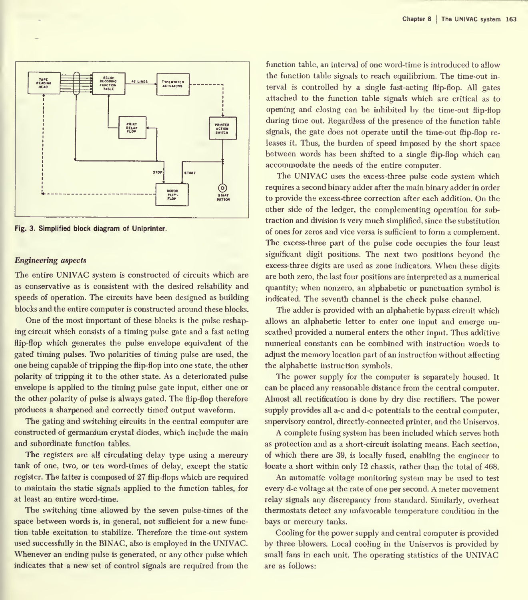

Fig. 3. Simplified block diagram of Uniprinter.

#### **Engineering** aspects

The entire UNIVAC system is constructed of circuits which are as conservative as is consistent with the desired reliability and speeds of operation. The circuits have been designed as building blocks and the entire computer is constructed around these blocks.

One of the most important of these blocks is the pulse reshaping circuit which consists of a timing pulse gate and a fast acting flip-flop which generates the pulse envelope equivalent of the gated timing pulses. Two polarities of timing pulse are used, the one being capable of tripping the flip-flop into one state, the other polarity of tripping it to the other state. As a deteriorated pulse envelope is applied to the timing pulse gate input, either one or the other polarity of pulse is always gated. The flip-flop therefore produces a sharpened and correctly timed output waveform.

The gating and switching circuits in the central computer are constructed of germanium crystal diodes, which include the main and subordinate function tables.

The registers are all circulating delay type using a mercury tank of one, two, or ten word-times of delay, except the static register. The latter is composed of 27 flip-flops which are required to maintain the static signals applied to the function tables, for at least an entire word-time.

The switching time allowed by the seven pulse-times of the space between words is, in general, not sufficient for a new function table excitation to stabilize. Therefore the time-out system used successfully in the BINAC, also is employed in the UNIVAC. Whenever an ending pulse is generated, or any other pulse which indicates that a new set of control signals are required from the

function table, an interval of one word-time is introduced to allow the function table signals to reach equilibrium. The time-out interval is controlled by a single fast-acting flip-flop. All gates attached to the function table signals which are critical as to opening and closing can be inhibited by the time-out flip-flop during time out. Regardless of the presence of the function table signals, the gate does not operate until the time-out flip-flop releases it. Thus, the burden of speed imposed by the short space between words has been shifted to a single flip-flop which can accommodate the needs of the entire computer.

The UNIVAC uses the excess-three pulse code system which requires a second binary adder after the main binary adder in order to provide the excess-three correction after each addition. On the other side of the ledger, the complementing operation for subtraction and division is very much simplified, since the substitution of ones for zeros and vice versa is sufficient to form a complement. The excess-three part of the pulse code occupies the four least significant digit positions. The next two positions beyond the excess-three digits are used as zone indicators. When these digits are both zero, the last four positions are interpreted as a numerical quantity; when nonzero, an alphabetic or punctuation symbol is indicated. The seventh channel is the check pulse channel.

The adder is provided with an alphabetic bypass circuit which allows an alphabetic letter to enter one input and emerge unscathed provided a numeral enters the other input. Thus additive numerical constants can be combined with instruction words to adjust the memory location part of an instruction without affecting the alphabetic instruction symbols.

The power supply for the computer is separately housed. It can be placed any reasonable distance from the central computer. Almost all rectification is done by dry disc rectifiers. The power supply provides all a-c and d-c potentials to the central computer, supervisory control, directly-connected printer, and the Uniservos.

A complete fusing system has been included which serves both as protection and as a short-circuit isolating means. Each section, of which there are 39, is locally fused, enabling the engineer to locate a short within only 12 chassis, rather than the total of 468.

An automatic voltage monitoring system may be used to test every d-c voltage at the rate of one per second. A meter movement relay signals any discrepancy from standard. Similarly, overheat thermostats detect any unfavorable temperature condition in the bays or mercury tanks.

Cooling for the power supply and central computer is provided by three blowers. Local cooling in the Uniservos is provided by small fans in each unit. The operating statistics of the UNIVAC are as follows: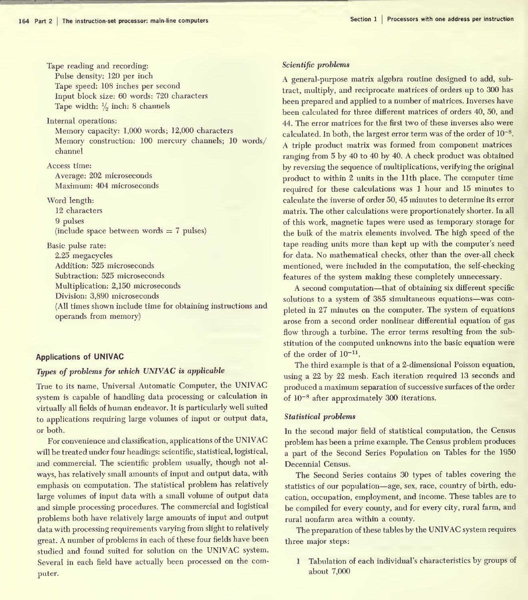Tape reading and recording: Pulse density: 120 per inch Tape speed: <sup>108</sup> inches per second Input block size: 60 words: 720 characters Tape width:  $\frac{1}{2}$  inch: 8 channels

Internal operations: Memory capacity: 1,000 words; 12,000 characters Memory construction: 100 mercury channels; <sup>10</sup> words/ channel

Access time: Average: 202 microseconds Maximum: 404 microseconds

Word length:

12 characters 9 pulses (include space between words  $= 7$  pulses)

Basic pulse rate:

2.25 megacycles Addition: 525 microseconds Subtraction: 525 microseconds Multiplication: 2,150 microseconds Division: 3,890 microseconds (All times shown include time for obtaining instructions and operands from memory)

### Applications of UNIVAC

#### Types of problems for which UNIVAC is applicable

True to its name, Universal Automatic Computer, the UNIVAC system is capable of handling data processing or calculation in virtually all fields of human endeavor. It is particularly well suited to applications requiring large volumes of input or output data, or both.

For convenience and classification, applications of the UNIVAC will be treated under four headings: scientific, statistical, logistical, and commercial. The scientific problem usually, though not always, has relatively small amounts of input and output data, with emphasis on computation. The statistical problem has relatively large volumes of input data with <sup>a</sup> small volume of output data and simple processing procedures. The commercial and logistical problems both have relatively large amounts of input and output data with processing requirements varying from slight to relatively great. A number of problems in each of these four fields have been studied and found suited for solution on the UNIVAC system. Several in each field have actually been processed on the computer.

#### Scientific problems

A general-purpose matrix algebra routine designed to add, subtract, multiply, and reciprocate matrices of orders up to 300 has been prepared and applied to <sup>a</sup> number of matrices. Inverses have been calculated for three different matrices of orders 40, 50, and 44. The error matrices for the first two of these inverses also were calculated. In both, the largest error term was of the order of  $10^{-8}$ . A triple product matrix was formed from component matrices ranging from <sup>5</sup> by <sup>40</sup> to <sup>40</sup> by 40. A check product was obtained by reversing the sequence of multiplications, verifying the original product to within <sup>2</sup> units in the 11th place. The computer time required for these calculations was <sup>1</sup> hour and <sup>15</sup> minutes to calculate the inverse of order 50, 45 minutes to determine its error matrix. The other calculations were proportionately shorter. In all of this work, magnetic tapes were used as temporary storage for the bulk of the matrix elements involved. The high speed of the tape reading units more than kept up with the computer's need for data. No mathematical checks, other than the over-all check mentioned, were included in the computation, the self-checking features of the system making these completely unnecessary.

<sup>A</sup> second computation—that of obtaining six different specific solutions to <sup>a</sup> system of <sup>385</sup> simultaneous equations—was completed in <sup>27</sup> minutes on the computer. The system of equations arose from a second order nonlinear differential equation of gas flow through a turbine. The error terms resulting from the substitution of the computed unknowns into the basic equation were of the order of  $10^{-11}$ .

The third example is that of <sup>a</sup> 2-dimensional Poisson equation, using <sup>a</sup> <sup>22</sup> by <sup>22</sup> mesh. Each iteration required <sup>13</sup> seconds and produced <sup>a</sup> maximum separation of successive surfaces of the order of 10~<sup>8</sup> after approximately 300 iterations.

## Statistical problems

In the second major field of statistical computation, the Census problem has been <sup>a</sup> prime example. The Census problem produces <sup>a</sup> part of the Second Series Population on Tables for the <sup>1950</sup> Decennial Census.

The Second Series contains 30 types of tables covering the statistics of our population—age, sex, race, country of birth, education, occupation, employment, and income. These tables are to be compiled for every county, and for every city, rural farm, and rural nonfarm area within a county.

The preparation of these tables by the UNIVAC system requires three major steps:

<sup>1</sup> Tabulation of each individual's characteristics by groups of about 7,000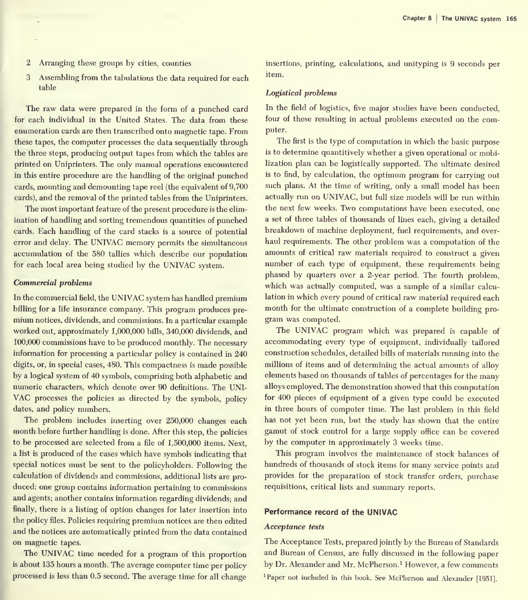- 2 Arranging these groups by cities, counties
- <sup>3</sup> Assembling from the tabulations the data required for each table

The raw data were prepared in the form of <sup>a</sup> punched card for each individual in the United States. The data from these enumeration cards are then transcribed onto magnetic tape. From these tapes, the computer processes the data sequentially through the three steps, producing output tapes from which the tables are printed on Uniprinters. The only manual operations encountered in this entire procedure are the handling of the original punched cards, mounting and demounting tape reel (the equivalent of 9,700 cards), and the removal of the printed tables from the Uniprinters.

The most important feature of the present procedure is the elimination of handling and sorting tremendous quantities of punched cards. Each handling of the card stacks is <sup>a</sup> source of potential error and delay. The UNIVAC memory permits the simultaneous accumulation of the 580 tallies which describe our population for each local area being studied by the UNIVAC system.

# Commercial problems

In the commercial field, the UNIVAC system has handled premium billing for <sup>a</sup> life insurance company. This program produces pre mium notices, dividends, and commissions. In <sup>a</sup> particular example worked out, approximately 1,000,000 bills, 340,000 dividends, and 100,000 commissions have to be produced monthly. The necessary information for processing <sup>a</sup> particular policy is contained in 240 digits, or, in special cases, 480. This compactness is made possible by <sup>a</sup> logical system of 40 symbols, comprising both alphabetic and numeric characters, which denote over 90 definitions. The UNI- VAC processes the policies as directed by the symbols, policy dates, and policy numbers.

The problem includes inserting over 250,000 changes each month before further handling is done. After this step, the policies to be processed are selected from <sup>a</sup> file of 1,500,000 items. Next, <sup>a</sup> list is produced of the cases which have symbols indicating that special notices must be sent to the policyholders. Following the calculation of dividends and commissions, additional lists are pro duced: one group contains information pertaining to commissions and agents; another contains information regarding dividends; and finally, there is <sup>a</sup> listing of option changes for later insertion into the policy files. Policies requiring premium notices are then edited and the notices are automatically printed from the data contained on magnetic tapes.

The UNIVAC time needed for <sup>a</sup> program of this proportion is about <sup>135</sup> hours <sup>a</sup> month. The average computer time per policy processed is less than 0.5 second. The average time for all change

insertions, printing, calculations, and unityping is <sup>9</sup> seconds per item.

# Logistical problems

In the field of logistics, five major studies have been conducted, four of these resulting in actual problems executed on the computer.

The first is the type of computation in which the basic purpose is to determine quantitively whether <sup>a</sup> given operational or mobilization plan can be logistically supported. The ultimate desired is to find, by calculation, the optimum program for carrying out such plans. At the time of writing, only <sup>a</sup> small model has been actually run on UNIVAC, but full size models will be run within the next few weeks. Two computations have been executed, one <sup>a</sup> set of three tables of thousands of lines each, giving <sup>a</sup> detailed breakdown of machine deployment, fuel requirements, and over haul requirements. The other problem was <sup>a</sup> computation of the amounts of critical raw materials required to construct <sup>a</sup> given number of each type of equipment, these requirements being phased by quarters over <sup>a</sup> 2-year period. The fourth problem, which was actually computed, was <sup>a</sup> sample of <sup>a</sup> similar calculation in which every pound of critical raw material required each month for the ultimate construction of <sup>a</sup> complete building pro gram was computed.

The UNIVAC program which was prepared is capable of accommodating every type of equipment, individually tailored construction schedules, detailed bills of materials running into the millions of items and of determining the actual amounts of alloy elements based on thousands of tables of percentages for the many alloys employed. The demonstration showed that this computation for <sup>400</sup> pieces of equipment of <sup>a</sup> given type could be executed in three hours of computer time. The last problem in this field has not yet been run, but the study has shown that the entire gamut of stock control for <sup>a</sup> large supply office can be covered by the computer in approximately 3 weeks time.

This program involves the maintenance of stock balances of hundreds of thousands of stock items for many service points and provides for the preparation of stock transfer orders, purchase requisitions, critical lists and summary reports.

## Performance record of the UNIVAC

## Acceptance tests

The Acceptance Tests, prepared jointly by the Bureau of Standards and Bureau of Census, are fully discussed in the following paper by Dr. Alexander and Mr. McPherson.<sup>1</sup> However, a few comments 'Paper not included in this book. See McPherson and Alexander [1951],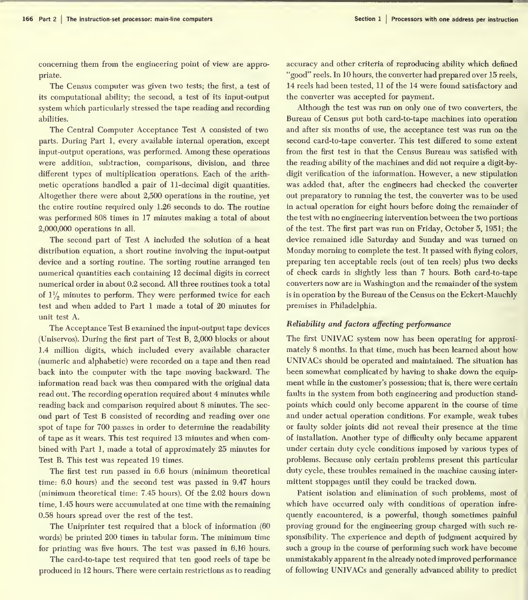concerning them from the engineering point of view are appropriate.

The Census computer was given two tests; the first, <sup>a</sup> test of its computational ability; the second, <sup>a</sup> test of its input-output system which particularly stressed the tape reading and recording abilities.

The Central Computer Acceptance Test A consisted of two parts. During Part 1, every available internal operation, except input-output operations, was performed. Among these operations were addition, subtraction, comparisons, division, and three different types of multiplication operations. Each of the arith metic operations handled <sup>a</sup> pair of 11-decimal digit quantities. Altogether there were about 2,500 operations in the routine, yet the entire routine required only 1.26 seconds to do. The routine was performed 808 times in <sup>17</sup> minutes making <sup>a</sup> total of about 2,000,000 operations in all.

The second part of Test A included the solution of <sup>a</sup> heat distribution equation, <sup>a</sup> short routine involving the input-output device and <sup>a</sup> sorting routine. The sorting routine arranged ten numerical quantities each containing <sup>12</sup> decimal digits in correct numerical order in about 0.2 second. All three routines took a total of  $1\frac{1}{2}$  minutes to perform. They were performed twice for each test and when added to Part <sup>1</sup> made a total of 20 minutes for unit test A.

The Acceptance Test B examined the input-output tape devices (Uniservos). During the first part of Test B, 2,000 blocks or about 1.4 million digits, which included every available character (numeric and alphabetic) were recorded on <sup>a</sup> tape and then read back into the computer with the tape moving backward. The information read back was then compared with the original data read out. The recording operation required about <sup>4</sup> minutes while reading back and comparison required about <sup>8</sup> minutes. The sec ond part of Test B consisted of recording and reading over one spot of tape for 700 passes in order to determine the readability of tape as it wears. This test required <sup>13</sup> minutes and when combined with Part 1, made <sup>a</sup> total of approximately <sup>25</sup> minutes for Test B. This test was repeated <sup>19</sup> times.

The first test run passed in 6.6 hours (minimum theoretical time: 6.0 hours) and the second test was passed in 9.47 hours (minimum theoretical time: 7.45 hours). Of the 2.02 hours down time, 1.45 hours were accumulated at one time with the remaining 0.58 hours spread over the rest of the test.

The Uniprinter test required that <sup>a</sup> block of information (60 words) be printed 200 times in tabular form. The minimum time for printing was five hours. The test was passed in 6.16 hours.

The card-to-tape test required that ten good reels of tape be produced in <sup>12</sup> hours. There were certain restrictions as to reading accuracy and other criteria of reproducing ability which defined "good" reels. In 10 hours, the converter had prepared over 15 reels, 14 reels had been tested, 11 of the 14 were found satisfactory and the converter was accepted for payment.

Although the test was run on only one of two converters, the Bureau of Census put both card-to-tape machines into operation and after six months of use, the acceptance test was run on the second card-to-tape converter. This test differed to some extent from the first test in that the Census Bureau was satisfied with the reading ability of the machines and did not require <sup>a</sup> digit-bydigit verification of the information. However, <sup>a</sup> new stipulation was added that, after the engineers had checked the converter out preparatory to running the test, the converter was to be used in actual operation for eight hours before doing the remainder of the test with no engineering intervention between the two portions of the test. The first part was run on Friday, October 5, 1951; the device remained idle Saturday and Sunday and was turned on Monday morning to complete the test. It passed with flying colors, preparing ten acceptable reels (out of ten reels) plus two decks of check cards in slightly less than <sup>7</sup> hours. Both card-to-tape converters now are in Washington and the remainder of the system is in operation by the Bureau of the Census on the Eckert-Mauchly premises in Philadelphia.

## Reliability and factors affecting performance

The first UNIVAC system now has been operating for approximately <sup>8</sup> months. In that time, much has been learned about how UNIVACs should be operated and maintained. The situation has been somewhat complicated by having to shake down the equipment while in the customer's possession; that is, there were certain faults in the system from both engineering and production standpoints which could only become apparent in the course of time and under actual operation conditions. For example, weak tubes or faulty solder joints did not reveal their presence at the time of installation. Another type of difficulty only became apparent under certain duty cycle conditions imposed by various types of problems. Because only certain problems present this particular duty cycle, these troubles remained in the machine causing inter mittent stoppages until they could be tracked down.

Patient isolation and elimination of such problems, most of which have occurred only with conditions of operation infrequently encountered, is <sup>a</sup> powerful, though sometimes painful proving ground for the engineering group charged with such responsibility. The experience and depth of judgment acquired by such <sup>a</sup> group in the course of performing such work have become unmistakably apparent in the already noted improved performance of following UNIVACs and generally advanced ability to predict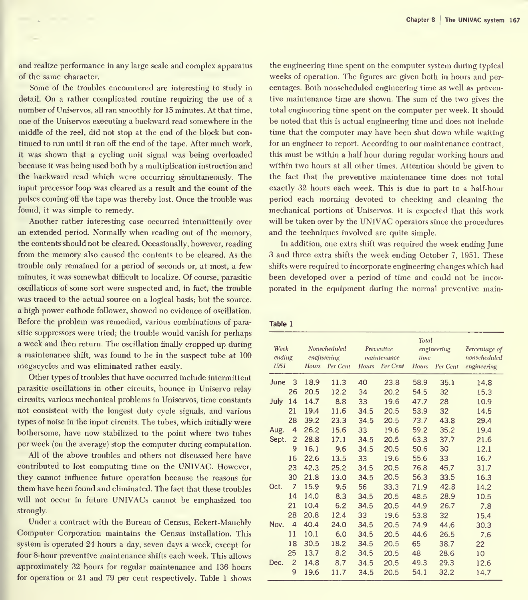and realize performance in any large scale and complex apparatus of the same character.

Some of the troubles encountered are interesting to study in detail. On <sup>a</sup> rather complicated routine requiring the use of <sup>a</sup> number of Uniservos, all ran smoothly for <sup>15</sup> minutes. At that time, one of the Uniservos executing <sup>a</sup> backward read somewhere in the middle of the reel, did not stop at the end of the block but con tinued to run until it ran off the end of the tape. After much work, it was shown that <sup>a</sup> cycling unit signal was being overloaded because it was being used both by <sup>a</sup> multiplication instruction and the backward read which were occurring simultaneously. The input precessor loop was cleared as <sup>a</sup> result and the count of the pulses coming off the tape was thereby lost. Once the trouble was found, it was simple to remedy.

Another rather interesting case occurred intermittently over an extended period. Normally when reading out of the memory, the contents should not be cleared. Occasionally, however, reading from the memory also caused the contents to be cleared. As the trouble only remained for <sup>a</sup> period of seconds or, at most, <sup>a</sup> few minutes, it was somewhat difficult to localize. Of course, parasitic oscillations of some sort were suspected and, in fact, the trouble was traced to the actual source on <sup>a</sup> logical basis; but the source, <sup>a</sup> high power cathode follower, showed no evidence of oscillation. Before the problem was remedied, various combinations of parasitic suppressors were tried; the trouble would vanish for perhaps <sup>a</sup> week and then return. The oscillation finally cropped up during <sup>a</sup> maintenance shift, was found to be in the suspect tube at <sup>100</sup> megacycles and was eliminated rather easily.

Other types of troubles that have occurred include intermittent parasitic oscillations in other circuits, bounce in Uniservo relay circuits, various mechanical problems in Uniservos, time constants not consistent with the longest duty cycle signals, and various types of noise in the input circuits. The tubes, which initially were bothersome, have now stabilized to the point where two tubes per week (on the average) stop the computer during computation.

All of the above troubles and others not discussed here have contributed to lost computing time on the UNIVAC. However, they cannot influence future operation because the reasons for them have been found and eliminated. The fact that these troubles will not occur in future UNIVACs cannot be emphasized too strongly.

Under <sup>a</sup> contract with the Bureau of Census, Eckert-Mauchly Computer Corporation maintains the Census installation. This system is operated <sup>24</sup> hours <sup>a</sup> day, seven days <sup>a</sup> week, except for four 8-hour preventive maintenance shifts each week. This allows approximately 32 hours for regular maintenance and 136 hours for operation or <sup>21</sup> and 79 per cent respectively. Table <sup>1</sup> shows the engineering time spent on the computer system during typical weeks of operation. The figures are given both in hours and per centages. Both nonscheduled engineering time as well as preventive maintenance time are shown. The sum of the two gives the total engineering time spent on the computer per week. It should be noted that this is actual engineering time and does not include time that the computer may have been shut down while waiting for an engineer to report. According to our maintenance contract, this must be within <sup>a</sup> half hour during regular working hours and within two hours at all other times. Attention should be given to the fact that the preventive maintenance time does not total exactly 32 hours each week. This is due in part to <sup>a</sup> half-hour period each morning devoted to checking and cleaning the mechanical portions of Uniservos. It is expected that this work will be taken over by the UNIVAC operators since the procedures and the techniques involved are quite simple.

In addition, one extra shift was required the week ending June <sup>3</sup> and three extra shifts the week ending October 7, 1951. These shifts were required to incorporate engineering changes which had been developed over <sup>a</sup> period of time and could not be incorporated in the equipment during the normal preventive main-

| Table 1 |  |  |  |
|---------|--|--|--|
|---------|--|--|--|

| Week<br>ending |                |       | Nonscheduled<br>engineering |       | Preventive<br>maintenance | Total<br>time | engineering | Percentage of<br>nonscheduled |
|----------------|----------------|-------|-----------------------------|-------|---------------------------|---------------|-------------|-------------------------------|
| 1951           |                | Hours | Per Cent                    | Hours | Per Cent                  | Hours         | Per Cent    | engineering                   |
| June           | 3              | 18.9  | 11.3                        | 40    | 23.8                      | 58.9          | 35.1        | 14.8                          |
|                | 26             | 20.5  | 12.2                        | 34    | 20.2                      | 54.5          | 32          | 15.3                          |
| July           | 14             | 14.7  | 8.8                         | 33    | 19.6                      | 47.7          | 28          | 10.9                          |
|                | 21             | 19.4  | 11.6                        | 34.5  | 20.5                      | 53.9          | 32          | 14.5                          |
|                | 28             | 39.2  | 23.3                        | 34.5  | 20.5                      | 73.7          | 43.8        | 29.4                          |
| Aug.           | $\overline{4}$ | 26.2  | 15.6                        | 33    | 19.6                      | 59.2          | 35.2        | 19.4                          |
| Sept.          | 2              | 28.8  | 17.1                        | 34.5  | 20.5                      | 63.3          | 37.7        | 21.6                          |
|                | $\overline{9}$ | 16.1  | 9.6                         | 34.5  | 20.5                      | 50.6          | 30          | 12.1                          |
|                | 16             | 22.6  | 13.5                        | 33    | 19.6                      | 55.6          | 33          | 16.7                          |
|                | 23             | 42.3  | 25.2                        | 34.5  | 20.5                      | 76.8          | 45.7        | 31.7                          |
|                | 30             | 21.8  | 13.0                        | 34.5  | 20.5                      | 56.3          | 33.5        | 16.3                          |
| Oct.           | $\overline{7}$ | 15.9  | 9.5                         | 56    | 33.3                      | 71.9          | 42.8        | 14.2                          |
|                | 14             | 14.0  | 8.3                         | 34.5  | 20.5                      | 48.5          | 28.9        | 10.5                          |
|                | 21             | 10.4  | 6.2                         | 34.5  | 20.5                      | 44.9          | 26.7        | 7.8                           |
|                | 28             | 20.8  | 12.4                        | 33    | 19.6                      | 53.8          | 32          | 15.4                          |
| Nov.           | $\overline{4}$ | 40.4  | 24.0                        | 34.5  | 20.5                      | 74.9          | 44.6        | 30.3                          |
|                | 11             | 10.1  | 6.0                         | 34.5  | 20.5                      | 44.6          | 26.5        | 7.6                           |
|                | 18             | 30.5  | 18.2                        | 34.5  | 20.5                      | 65            | 38.7        | 22                            |
|                | 25             | 13.7  | 8.2                         | 34.5  | 20.5                      | 48            | 28.6        | 10                            |
| Dec.           | $\overline{2}$ | 14.8  | 8.7                         | 34.5  | 20.5                      | 49.3          | 29.3        | 12.6                          |
|                | 9              | 19.6  | 11.7                        | 34.5  | 20.5                      | 54.1          | 32.2        | 14.7                          |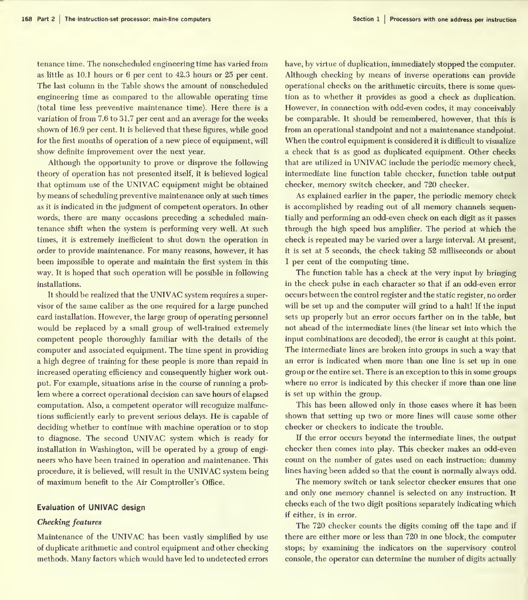tenance time. The nonscheduled engineering time has varied from as little as 10.1 hours or 6 per cent to 42.3 hours or 25 per cent. The last column in the Table shows the amount of nonscheduled engineering time as compared to the allowable operating time (total time less preventive maintenance time). Here there is <sup>a</sup> variation of from 7.6 to 31.7 per cent and an average for the weeks shown of 16.9 per cent. It is believed that these figures, while good for the first months of operation of <sup>a</sup> new piece of equipment, will show definite improvement over the next year.

Although the opportunity to prove or disprove the following theory of operation has not presented itself, it is believed logical that optimum use of the UNIVAC equipment might be obtained by means of scheduling preventive maintenance only at such times as it is indicated in the judgment of competent operators. In other words, there are many occasions preceding <sup>a</sup> scheduled main tenance shift when the system is performing very well. At such times, it is extremely inefficient to shut down the operation in order to provide maintenance. For many reasons, however, it has been impossible to operate and maintain the first system in this way. It is hoped that such operation will be possible in following installations.

It should be realized that the UNIVAC system requires <sup>a</sup> supervisor of the same caliber as the one required for <sup>a</sup> large punched card installation. However, the large group of operating personnel would be replaced by <sup>a</sup> small group of well-trained extremely competent people thoroughly familiar with the details of the computer and associated equipment. The time spent in providing <sup>a</sup> high degree of training for these people is more than repaid in increased operating efficiency and consequently higher work output. For example, situations arise in the course of running <sup>a</sup> problem where <sup>a</sup> correct operational decision can save hours of elapsed computation. Also, <sup>a</sup> competent operator will recognize malfunctions sufficiently early to prevent serious delays. He is capable of deciding whether to continue with machine operation or to stop to diagnose. The second UNIVAC system which is ready for installation in Washington, will be operated by <sup>a</sup> group of engi neers who have been trained in operation and maintenance. This procedure, it is believed, will result in the UNIVAC system being of maximum benefit to the Air Comptroller's Office.

#### Evaluation of UNIVAC design

#### Checking features

Maintenance of the UNIVAC has been vastly simplified by use of duplicate arithmetic and control equipment and other checking methods. Many factors which would have led to undetected errors

have, by virtue of duplication, immediately stopped the computer. Although checking by means of inverse operations can provide operational checks on the arithmetic circuits, there is some question as to whether it provides as good <sup>a</sup> check as duplication. However, in connection with odd-even codes, it may conceivably be comparable. It should be remembered, however, that this is from an operational standpoint and not <sup>a</sup> maintenance standpoint. When the control equipment is considered it is difficult to visualize <sup>a</sup> check that is as good as duplicated equipment. Other checks that are utilized in UNIVAC include the periodic memory check, intermediate line function table checker, function table output checker, memory switch checker, and 720 checker.

As explained earlier in the paper, the periodic memory check is accomplished by reading out of all memory channels sequentially and performing an odd-even check on each digit as it passes through the high speed bus amplifier. The period at which the check is repeated may be varied over <sup>a</sup> large interval. At present, it is set at 5 seconds, the check taking 52 milliseconds or about <sup>1</sup> per cent of the computing time.

The function table has <sup>a</sup> check at the very input by bringing in the check pulse in each character so that if an odd-even error occurs between the control register and the static register, no order will be set up and the computer will grind to <sup>a</sup> halt! If the input sets up properly but an error occurs farther on in the table, but not ahead of the intermediate lines (the linear set into which the input combinations are decoded), the error is caught at this point. The intermediate lines are broken into groups in such <sup>a</sup> way that an error is indicated when more than one line is set up in one group or the entire set. There is an exception to this in some groups where no error is indicated by this checker if more than one line is set up within the group.

This has been allowed only in those cases where it has been shown that setting up two or more lines will cause some other checker or checkers to indicate the trouble.

If the error occurs beyond the intermediate lines, the output checker then comes into play. This checker makes an odd-even count on the number of gates used on each instruction: dummy lines having been added so that the count is normally always odd.

The memory switch or tank selector checker ensures that one and only one memory channel is selected on any instruction. It checks each of the two digit positions separately indicating which if either, is in error.

The <sup>720</sup> checker counts the digits coming off the tape and if there are either more or less than 720 in one block, the computer stops; by examining the indicators on the supervisory control console, the operator can determine the number of digits actually